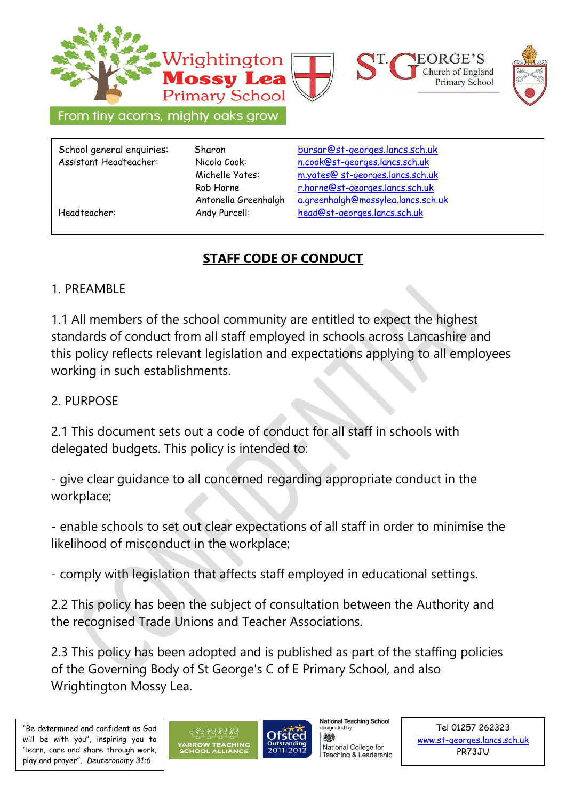

# **STAFF CODE OF CONDUCT**

# 1. PREAMBLE

1.1 All members of the school community are entitled to expect the highest standards of conduct from all staff employed in schools across Lancashire and this policy reflects relevant legislation and expectations applying to all employees working in such establishments.

## 2. PURPOSE

2.1 This document sets out a code of conduct for all staff in schools with delegated budgets. This policy is intended to:

- give clear guidance to all concerned regarding appropriate conduct in the workplace;

- enable schools to set out clear expectations of all staff in order to minimise the likelihood of misconduct in the workplace;

- comply with legislation that affects staff employed in educational settings.

2.2 This policy has been the subject of consultation between the Authority and the recognised Trade Unions and Teacher Associations.

2.3 This policy has been adopted and is published as part of the staffing policies of the Governing Body of St George's C of E Primary School, and also Wrightington Mossy Lea.





**National Teaching School** designated by

微多 National College for Teaching & Leadership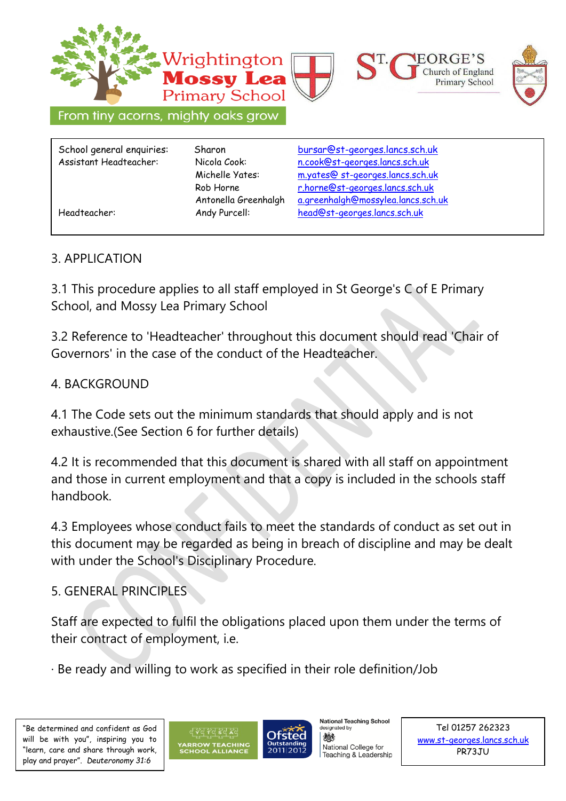

#### 3. APPLICATION

3.1 This procedure applies to all staff employed in St George's C of E Primary School, and Mossy Lea Primary School

3.2 Reference to 'Headteacher' throughout this document should read 'Chair of Governors' in the case of the conduct of the Headteacher.

#### 4. BACKGROUND

4.1 The Code sets out the minimum standards that should apply and is not exhaustive.(See Section 6 for further details)

4.2 It is recommended that this document is shared with all staff on appointment and those in current employment and that a copy is included in the schools staff handbook.

4.3 Employees whose conduct fails to meet the standards of conduct as set out in this document may be regarded as being in breach of discipline and may be dealt with under the School's Disciplinary Procedure.

### 5. GENERAL PRINCIPLES

Staff are expected to fulfil the obligations placed upon them under the terms of their contract of employment, i.e.

· Be ready and willing to work as specified in their role definition/Job





**National Teaching School** designated by 微多

National College for Teaching & Leadership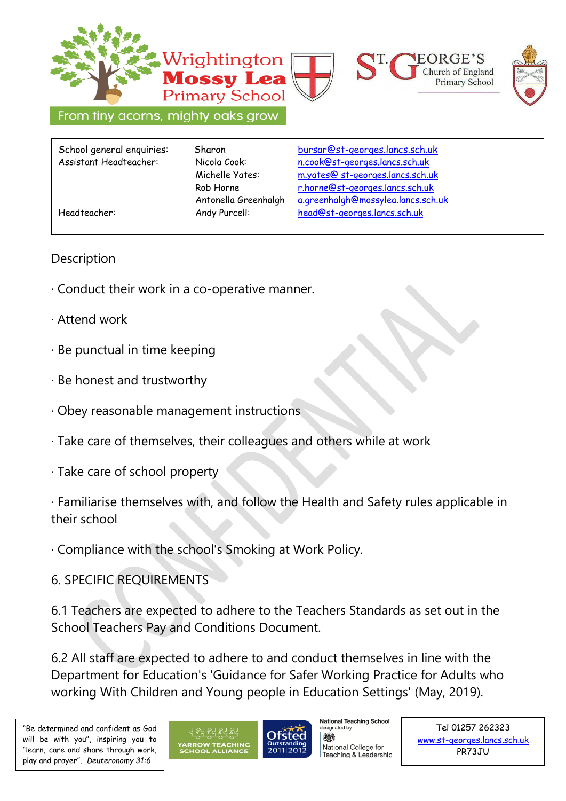

### **Description**

- · Conduct their work in a co-operative manner.
- · Attend work
- · Be punctual in time keeping
- · Be honest and trustworthy
- · Obey reasonable management instructions
- · Take care of themselves, their colleagues and others while at work
- · Take care of school property

· Familiarise themselves with, and follow the Health and Safety rules applicable in their school

· Compliance with the school's Smoking at Work Policy.

6. SPECIFIC REQUIREMENTS

6.1 Teachers are expected to adhere to the Teachers Standards as set out in the School Teachers Pay and Conditions Document.

6.2 All staff are expected to adhere to and conduct themselves in line with the Department for Education's 'Guidance for Safer Working Practice for Adults who working With Children and Young people in Education Settings' (May, 2019).



**National Teaching School** esignated by 微多 National College for Teaching & Leadership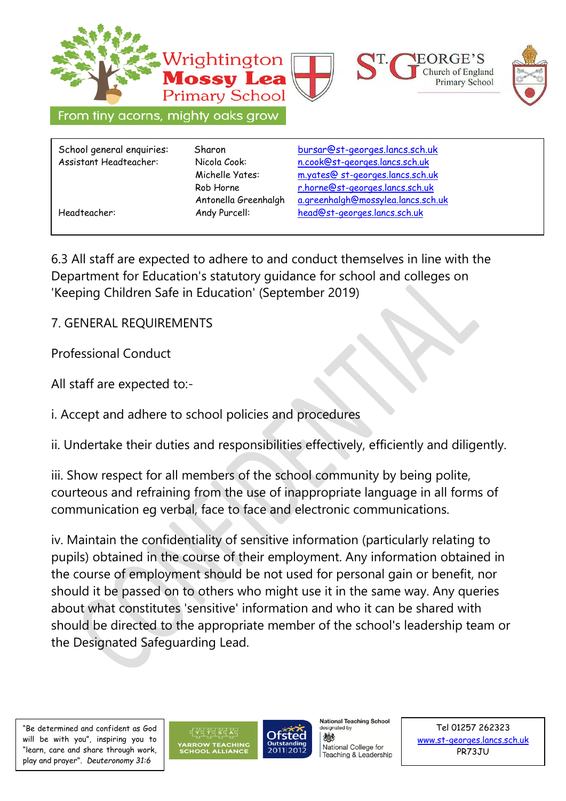

School general enquiries: Sharon [bursar@st-georges.lancs.sch.uk](mailto:bursar@st-georges.lancs.sch.uk) Assistant Headteacher: Nicola Cook: n.cook@st-georges.lancs.sch.uk Michelle Yates: m.yates@ st-georges.lancs.sch.uk Rob Horne [r.horne@st-georges.lancs.sch.uk](mailto:r.horne@st-georges.lancs.sch.uk) Antonella Greenhalgh a.greenhalgh@mossylea.lancs.sch.uk Headteacher: Andy Purcell: [head@st-georges.lancs.sch.uk](mailto:head@st-georges.lancs.sch.uk)

6.3 All staff are expected to adhere to and conduct themselves in line with the Department for Education's statutory guidance for school and colleges on 'Keeping Children Safe in Education' (September 2019)

7. GENERAL REQUIREMENTS

Professional Conduct

All staff are expected to:-

i. Accept and adhere to school policies and procedures

ii. Undertake their duties and responsibilities effectively, efficiently and diligently.

iii. Show respect for all members of the school community by being polite, courteous and refraining from the use of inappropriate language in all forms of communication eg verbal, face to face and electronic communications.

iv. Maintain the confidentiality of sensitive information (particularly relating to pupils) obtained in the course of their employment. Any information obtained in the course of employment should be not used for personal gain or benefit, nor should it be passed on to others who might use it in the same way. Any queries about what constitutes 'sensitive' information and who it can be shared with should be directed to the appropriate member of the school's leadership team or the Designated Safeguarding Lead.

"Be determined and confident as God will be with you", inspiring you to "learn, care and share through work, play and prayer". *Deuteronomy 31:6* 



**National Teaching School** designated by

微多 National College for Teaching & Leadership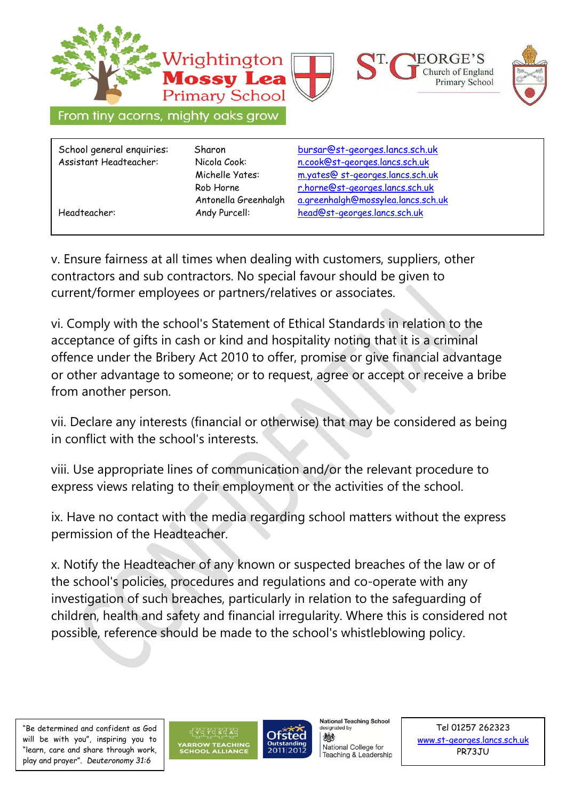

v. Ensure fairness at all times when dealing with customers, suppliers, other contractors and sub contractors. No special favour should be given to current/former employees or partners/relatives or associates.

vi. Comply with the school's Statement of Ethical Standards in relation to the acceptance of gifts in cash or kind and hospitality noting that it is a criminal offence under the Bribery Act 2010 to offer, promise or give financial advantage or other advantage to someone; or to request, agree or accept or receive a bribe from another person.

vii. Declare any interests (financial or otherwise) that may be considered as being in conflict with the school's interests.

viii. Use appropriate lines of communication and/or the relevant procedure to express views relating to their employment or the activities of the school.

ix. Have no contact with the media regarding school matters without the express permission of the Headteacher.

x. Notify the Headteacher of any known or suspected breaches of the law or of the school's policies, procedures and regulations and co-operate with any investigation of such breaches, particularly in relation to the safeguarding of children, health and safety and financial irregularity. Where this is considered not possible, reference should be made to the school's whistleblowing policy.

"Be determined and confident as God will be with you", inspiring you to "learn, care and share through work, play and prayer". *Deuteronomy 31:6* 



**National Teaching School** designated by

微多 National College for Teaching & Leadership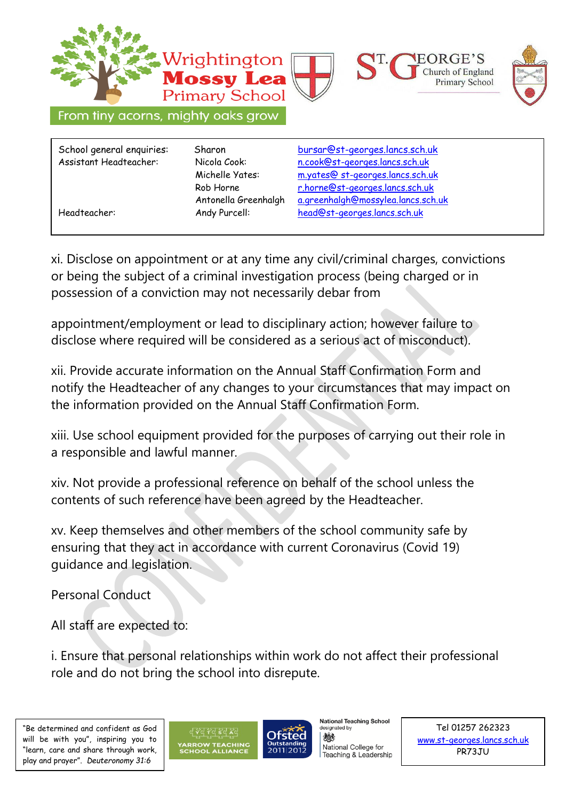

xi. Disclose on appointment or at any time any civil/criminal charges, convictions or being the subject of a criminal investigation process (being charged or in possession of a conviction may not necessarily debar from

appointment/employment or lead to disciplinary action; however failure to disclose where required will be considered as a serious act of misconduct).

xii. Provide accurate information on the Annual Staff Confirmation Form and notify the Headteacher of any changes to your circumstances that may impact on the information provided on the Annual Staff Confirmation Form.

xiii. Use school equipment provided for the purposes of carrying out their role in a responsible and lawful manner.

xiv. Not provide a professional reference on behalf of the school unless the contents of such reference have been agreed by the Headteacher.

xv. Keep themselves and other members of the school community safe by ensuring that they act in accordance with current Coronavirus (Covid 19) guidance and legislation.

Personal Conduct

All staff are expected to:

i. Ensure that personal relationships within work do not affect their professional role and do not bring the school into disrepute.





**National Teaching School** designated by

微多 National College for Teaching & Leadership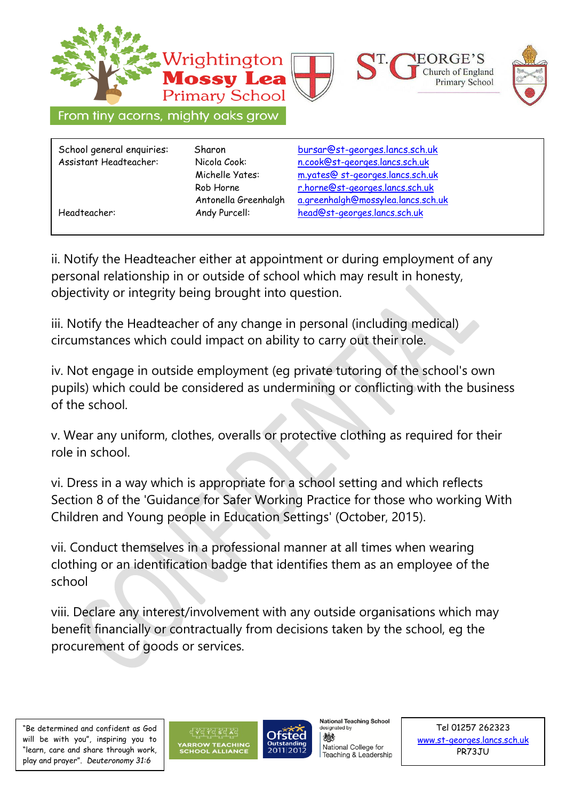

ii. Notify the Headteacher either at appointment or during employment of any personal relationship in or outside of school which may result in honesty, objectivity or integrity being brought into question.

iii. Notify the Headteacher of any change in personal (including medical) circumstances which could impact on ability to carry out their role.

iv. Not engage in outside employment (eg private tutoring of the school's own pupils) which could be considered as undermining or conflicting with the business of the school.

v. Wear any uniform, clothes, overalls or protective clothing as required for their role in school.

vi. Dress in a way which is appropriate for a school setting and which reflects Section 8 of the 'Guidance for Safer Working Practice for those who working With Children and Young people in Education Settings' (October, 2015).

vii. Conduct themselves in a professional manner at all times when wearing clothing or an identification badge that identifies them as an employee of the school

viii. Declare any interest/involvement with any outside organisations which may benefit financially or contractually from decisions taken by the school, eg the procurement of goods or services.

"Be determined and confident as God will be with you", inspiring you to "learn, care and share through work, play and prayer". *Deuteronomy 31:6* 



**National Teaching School** designated by

微多 National College for Teaching & Leadership